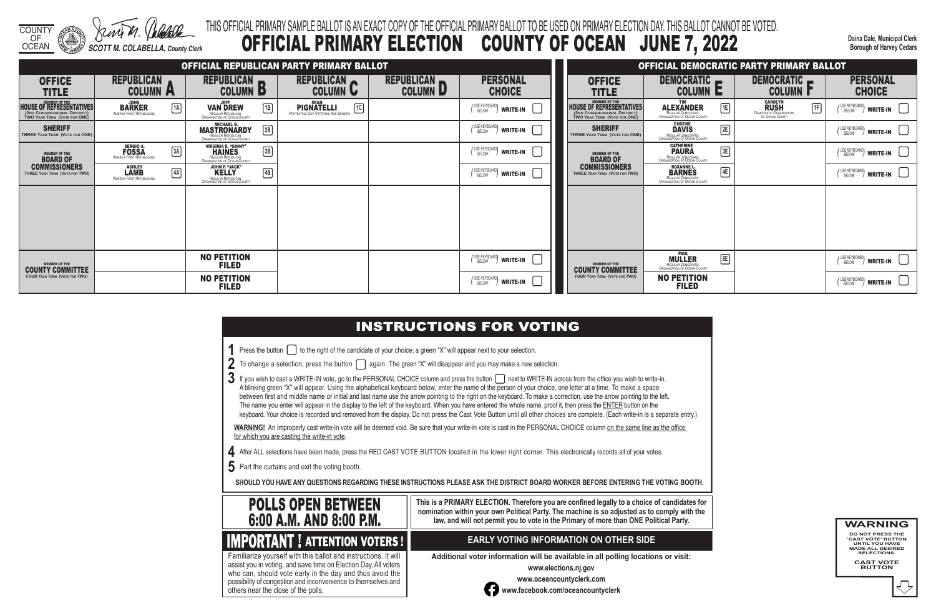COUNTY OF

**Daina Dale, Municipal Clerk Borough of Harvey Cedars**

|  | ou wish to write-in. |
|--|----------------------|
|  |                      |

- 
- 
- 
- 

## OCEAN *SCOTT M. COLABELLA, County Clerk* THIS OFFICIAL PRIMARY SAMPLE BALLOT IS AN EXACT COPY OF THE OFFICIAL PRIMARY BALLOT TO BE USED ON PRIMARY ELECTION DAY. THIS BALLOT CANNOT BE VOTED. OFFICIAL PRIMARY ELECTION COUNTY OF OCEAN JUNE 7, 2022

- **1** Press the button **the right of the candidate of your choice**; a green "X" will appear next to your selection.
- **2** To change a selection, press the button **again.** The green "X" will disappear and you may make a new selection.
- 3 If you wish to cast a WRITE-IN vote, go to the PERSONAL CHOICE column and press the button  $\Box$  next to WRITE-IN across from the office you A blinking green "X" will appear. Using the alphabetical keyboard below, enter the name of the person of your choice, one letter at a time. To make a space between first and middle name or initial and last name use the arrow pointing to the right on the keyboard. To make a correction, use the arrow pointing to the left. The name you enter will appear in the display to the left of the keyboard. When you have entered the whole name, proof it, then press the ENTER button on the keyboard. Your choice is recorded and removed from the display. Do not press the Cast Vote Button until all other choices are complete. (Each write-in is a separate entry.)

WARNING! An improperly cast write-in vote will be deemed void. Be sure that your write-in vote is cast in the PERSONAL CHOICE column on the same line as the office for which you are casting the write-in vote.

- **4** After ALL selections have been made, press the RED CAST VOTE BUTTON located in the lower right corner. This electronically records all of your votes.
- **5** Part the curtains and exit the voting booth.

**SHOULD YOU HAVE ANY QUESTIONS REGARDING THESE INSTRUCTIONS PLEASE ASK THE DISTRICT BOARD WORKER BEFORE ENTERING THE VOTING BOOTH.**

**This is a PRIMARY ELECTION. Therefore you are confined legally to a choice of candidates for nomination within your own Political Party. The machine is so adjusted as to comply with the law, and will not permit you to vote in the Primary of more than ONE Political Party.**

 assist you in voting, and save time on Election Day. All voters Familiarize yourself with this ballot and instructions. It will who can, should vote early in the day and thus avoid the

possibility of congestion and inconvenience to themselves and

others near the close of the polls.

### **EARLY VOTING INFORMATION ON OTHER SIDE**

**Additional voter information will be available in all polling locations or visit:**

**www.elections.nj.gov** 



**www.oceancountyclerk.com <sup>w</sup>ww.facebook.com/oceancountyclerk** **WARNING DO NOT PRESS THE** 

**'CAST VOTE' BUTTON UNTIL YOU HAVE MADE ALL DESIRED SELECTIONS.** 

**CAST VOTE BUTTON**



|                                                                                                           |                                                                                   |                                                                                                                   | OFFICIAL REPUBLICAN PARTY PRIMARY BALLOT                                             |                               |                                                       |                                                                                                 |                                                                                                        | OFFICIAL DEMOCRATIC PARTY PRIMARY BALLOT                                                  |                                                                        |
|-----------------------------------------------------------------------------------------------------------|-----------------------------------------------------------------------------------|-------------------------------------------------------------------------------------------------------------------|--------------------------------------------------------------------------------------|-------------------------------|-------------------------------------------------------|-------------------------------------------------------------------------------------------------|--------------------------------------------------------------------------------------------------------|-------------------------------------------------------------------------------------------|------------------------------------------------------------------------|
| <b>OFFICE</b><br><b>TITLE</b>                                                                             | <b>REPUBLICAN</b><br><b>COLUMN A</b>                                              | REPUBLICAN R<br><b>COLUMN B</b>                                                                                   | REPUBLICAN<br><b>COLUMN U</b>                                                        | REPUBLICAN<br><b>COLUMN D</b> | <b>PERSONAL</b><br><b>CHOICE</b>                      | <b>OFFICE</b><br><b>TITLE</b>                                                                   | DEMOCRATIC <b>PRODUCT</b><br><b>COLUMN E</b>                                                           | DEMOCRATIC -<br><b>COLUMN I</b>                                                           | <b>PERSONAL</b><br><b>CHOICE</b>                                       |
| MEMBER OF THE<br>HOUSE OF REPRESENTATIVES<br>(2ND CONGRESSIONAL DISTRICT)<br>TWO YEAR TERM (VOTE FOR ONE) | $\overline{\text{BARKER}}^{\text{JOHN}}_{\text{AMERICA FIRST REPUBLICANS}}$<br>1A | <b>VAN DREW</b><br>$\boxed{1B}$<br>REGULAR REPUBLICAN<br><b>ORGANIZATION OF OCEAN COUNTY</b>                      | <b>SEAN</b><br>1C<br><b>PIGNATELLI</b><br><b>PROTECTING OUR VETERANS AND SENIORS</b> |                               | (USE KEYBOARD)<br>BELOW<br>WRITE-IN                   | <b>HOUSE OF REPRESENTATIVES</b><br>(2ND CONGRESSIONAL DISTRICT)<br>TWO YEAR TERM (VOTE FOR ONE) | E<br><b>ALEXANDER</b><br>REGULAR DEMOCRATIC<br>ORGANIZATION OF OCEAN COUNTY                            | <b>CAROLYN</b><br><b>RUSH</b><br>1F<br><b>DEMOCRATIC ORGANIZATION<br/>OF OCEAN COUNTY</b> | USE KEYBOARD)<br>BELOW<br>$\parallel$ write-in $\parallel$ $\parallel$ |
| <b>SHERIFF</b><br>THREE YEAR TERM (VOTE FOR ONE)                                                          |                                                                                   | <b>MASTRONARDY</b><br>$\boxed{2B}$<br>REGULAR REPUBLICAN<br>ORGANIZATION OF OCEAN COUNTY                          |                                                                                      |                               | (USE KEYBOARD)<br>BELOW<br>WRITE-IN                   | <b>SHERIFF</b><br>THREE YEAR TERM (VOTE FOR ONE)                                                | EUGENE<br><b>DAVIS</b><br>REGULAR DEMOCRATIC<br>ORGANIZATION OF OCEAN COUNTY<br>2E                     |                                                                                           | (USE KEYBOARD)<br><b>WRITE-IN</b>                                      |
| <b>MEMBER OF THE</b><br><b>BOARD OF</b>                                                                   | <b>SERGIO A.</b><br><b>FOSSA</b><br>$\boxed{3A}$<br>AMERICA FIRST REPUBLICANS     | <b>VIRGINIA E. "GINNY"</b><br><b>HAINES</b><br>$\boxed{3B}$<br>REGULAR REPUBLICAN<br>ORGANIZATION OF OCEAN COUNTY |                                                                                      |                               | (USE KEYBOARD)<br>BELOW<br>write-in                   | <b>MEMBER OF THE</b><br><b>BOARD OF</b>                                                         | <b>CATHERINE</b><br>$\boxed{3E}$<br><b>PAURA</b><br>REGULAR DEMOCRATIC<br>ORGANIZATION OF OCEAN COUNTY |                                                                                           | (USE KEYBOARD)<br><b>WRITE-IN</b>                                      |
| <b>COMMISSIONERS</b><br>THREE YEAR TERM (VOTE FOR TWO)                                                    | <b>ASHLEY</b><br><b>LAMB</b><br>4A<br>AMERICA FIRST REPUBLICANS                   | <b>JOHN P. "JACK"</b><br>$\boxed{4B}$<br><b>KELLY</b><br>REGULAR REPUBLICAN<br>ORGANIZATION OF OCEAN COUNTY       |                                                                                      |                               | (USE KEYBOARD)<br>BELOW<br>WRITE-IN                   | <b>COMMISSIONERS</b><br>THREE YEAR TERM (VOTE FOR TWO)                                          | ROXANNE L.<br>BARNES<br>4E<br><b>EGULAR DEMOCRATIC<br/>ORGANIZATION OF OCEAN COUNTY</b>                |                                                                                           | (USE KEYBOARD)<br>write-in                                             |
|                                                                                                           |                                                                                   |                                                                                                                   |                                                                                      |                               |                                                       |                                                                                                 |                                                                                                        |                                                                                           |                                                                        |
|                                                                                                           |                                                                                   |                                                                                                                   |                                                                                      |                               |                                                       |                                                                                                 |                                                                                                        |                                                                                           |                                                                        |
|                                                                                                           |                                                                                   |                                                                                                                   |                                                                                      |                               |                                                       |                                                                                                 |                                                                                                        |                                                                                           |                                                                        |
| <b>MEMBER OF THE</b><br><b>COUNTY COMMITTEE</b>                                                           |                                                                                   | <b>NO PETITION</b><br><b>FILED</b>                                                                                |                                                                                      |                               | (USE KEYBOARD)<br>BELOW<br>$^{\prime\prime}$ write-in | <b>MEMBER OF THE</b><br><b>COUNTY COMMITTEE</b>                                                 | <b>MULLER</b><br>B<br>REGULAR DEMOCRATIC<br>ORGANIZATION OF OCEAN COUNTY                               |                                                                                           | (USE KEYBOARD)<br>$^{\prime\prime}$ write-in $ $ $ $                   |
| <b>FOUR YEAR TERM (VOTE FOR TWO)</b>                                                                      |                                                                                   | <b>NO PETITION</b><br><b>FILED</b>                                                                                |                                                                                      |                               | (USE KEYBOARD)<br>BELOW<br>write-in                   | <b>FOUR YEAR TERM (VOTE FOR TWO)</b>                                                            | <b>NO PETITION</b><br><b>FILED</b>                                                                     |                                                                                           | (USE KEYBOARD)<br>/ WRITE-IN                                           |

## **INSTRUCTIONS FOR VOTING**